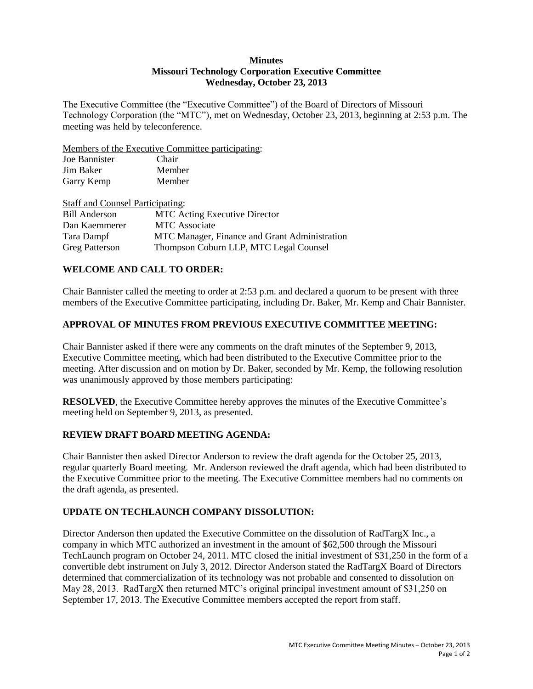### **Minutes Missouri Technology Corporation Executive Committee Wednesday, October 23, 2013**

The Executive Committee (the "Executive Committee") of the Board of Directors of Missouri Technology Corporation (the "MTC"), met on Wednesday, October 23, 2013, beginning at 2:53 p.m. The meeting was held by teleconference.

Members of the Executive Committee participating:

| Joe Bannister | Chair  |
|---------------|--------|
| Jim Baker     | Member |
| Garry Kemp    | Member |

| <b>Staff and Counsel Participating:</b> |                                               |
|-----------------------------------------|-----------------------------------------------|
| <b>Bill Anderson</b>                    | <b>MTC</b> Acting Executive Director          |
| Dan Kaemmerer                           | <b>MTC</b> Associate                          |
| Tara Dampf                              | MTC Manager, Finance and Grant Administration |
| <b>Greg Patterson</b>                   | Thompson Coburn LLP, MTC Legal Counsel        |

# **WELCOME AND CALL TO ORDER:**

Chair Bannister called the meeting to order at 2:53 p.m. and declared a quorum to be present with three members of the Executive Committee participating, including Dr. Baker, Mr. Kemp and Chair Bannister.

# **APPROVAL OF MINUTES FROM PREVIOUS EXECUTIVE COMMITTEE MEETING:**

Chair Bannister asked if there were any comments on the draft minutes of the September 9, 2013, Executive Committee meeting, which had been distributed to the Executive Committee prior to the meeting. After discussion and on motion by Dr. Baker, seconded by Mr. Kemp, the following resolution was unanimously approved by those members participating:

**RESOLVED**, the Executive Committee hereby approves the minutes of the Executive Committee's meeting held on September 9, 2013, as presented.

## **REVIEW DRAFT BOARD MEETING AGENDA:**

Chair Bannister then asked Director Anderson to review the draft agenda for the October 25, 2013, regular quarterly Board meeting. Mr. Anderson reviewed the draft agenda, which had been distributed to the Executive Committee prior to the meeting. The Executive Committee members had no comments on the draft agenda, as presented.

# **UPDATE ON TECHLAUNCH COMPANY DISSOLUTION:**

Director Anderson then updated the Executive Committee on the dissolution of RadTargX Inc., a company in which MTC authorized an investment in the amount of \$62,500 through the Missouri TechLaunch program on October 24, 2011. MTC closed the initial investment of \$31,250 in the form of a convertible debt instrument on July 3, 2012. Director Anderson stated the RadTargX Board of Directors determined that commercialization of its technology was not probable and consented to dissolution on May 28, 2013. RadTargX then returned MTC's original principal investment amount of \$31,250 on September 17, 2013. The Executive Committee members accepted the report from staff.